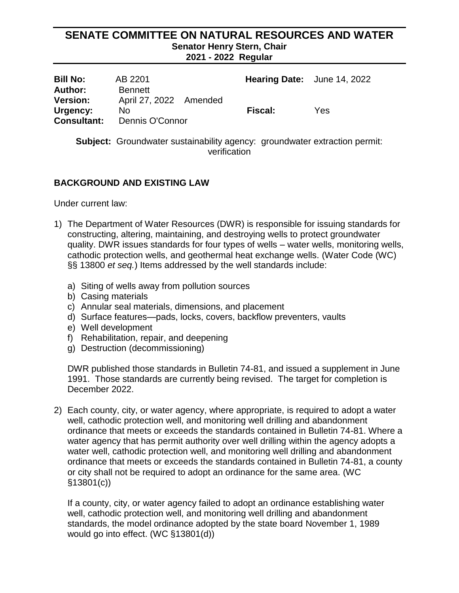## **SENATE COMMITTEE ON NATURAL RESOURCES AND WATER Senator Henry Stern, Chair 2021 - 2022 Regular**

| <b>Bill No:</b>                | AB 2201                                  | Hearing Date: June 14, 2022 |     |
|--------------------------------|------------------------------------------|-----------------------------|-----|
| Author:<br><b>Version:</b>     | <b>Bennett</b><br>April 27, 2022 Amended |                             |     |
| Urgency:<br><b>Consultant:</b> | No.<br>Dennis O'Connor                   | <b>Fiscal:</b>              | Yes |

## **Subject:** Groundwater sustainability agency: groundwater extraction permit: verification

## **BACKGROUND AND EXISTING LAW**

Under current law:

- 1) The Department of Water Resources (DWR) is responsible for issuing standards for constructing, altering, maintaining, and destroying wells to protect groundwater quality. DWR issues standards for four types of wells – water wells, monitoring wells, cathodic protection wells, and geothermal heat exchange wells. (Water Code (WC) §§ 13800 *et seq.*) Items addressed by the well standards include:
	- a) Siting of wells away from pollution sources
	- b) Casing materials
	- c) Annular seal materials, dimensions, and placement
	- d) Surface features—pads, locks, covers, backflow preventers, vaults
	- e) Well development
	- f) Rehabilitation, repair, and deepening
	- g) Destruction (decommissioning)

DWR published those standards in Bulletin 74-81, and issued a supplement in June 1991. Those standards are currently being revised. The target for completion is December 2022.

2) Each county, city, or water agency, where appropriate, is required to adopt a water well, cathodic protection well, and monitoring well drilling and abandonment ordinance that meets or exceeds the standards contained in Bulletin 74-81. Where a water agency that has permit authority over well drilling within the agency adopts a water well, cathodic protection well, and monitoring well drilling and abandonment ordinance that meets or exceeds the standards contained in Bulletin 74-81, a county or city shall not be required to adopt an ordinance for the same area. (WC §13801(c))

If a county, city, or water agency failed to adopt an ordinance establishing water well, cathodic protection well, and monitoring well drilling and abandonment standards, the model ordinance adopted by the state board November 1, 1989 would go into effect. (WC §13801(d))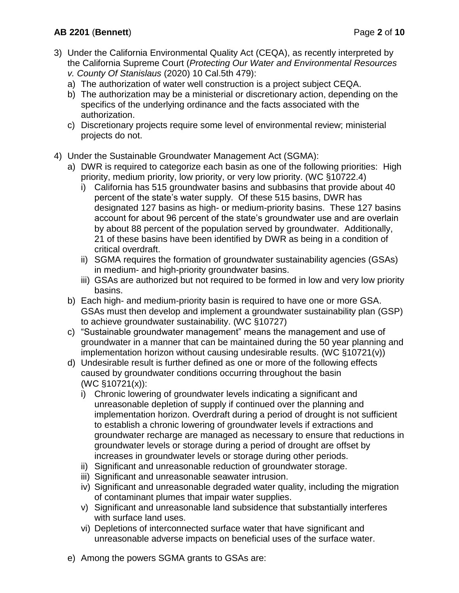## **AB 2201** (**Bennett**) Page **2** of **10**

- 3) Under the California Environmental Quality Act (CEQA), as recently interpreted by the California Supreme Court (*Protecting Our Water and Environmental Resources v. County Of Stanislaus* (2020) 10 Cal.5th 479):
	- a) The authorization of water well construction is a project subject CEQA.
	- b) The authorization may be a ministerial or discretionary action, depending on the specifics of the underlying ordinance and the facts associated with the authorization.
	- c) Discretionary projects require some level of environmental review; ministerial projects do not.
- 4) Under the Sustainable Groundwater Management Act (SGMA):
	- a) DWR is required to categorize each basin as one of the following priorities: High priority, medium priority, low priority, or very low priority. (WC §10722.4)
		- i) California has 515 groundwater basins and subbasins that provide about 40 percent of the state's water supply. Of these 515 basins, DWR has designated 127 basins as high- or medium-priority basins. These 127 basins account for about 96 percent of the state's groundwater use and are overlain by about 88 percent of the population served by groundwater. Additionally, 21 of these basins have been identified by DWR as being in a condition of critical overdraft.
		- ii) SGMA requires the formation of groundwater sustainability agencies (GSAs) in medium- and high-priority groundwater basins.
		- iii) GSAs are authorized but not required to be formed in low and very low priority basins.
	- b) Each high- and medium-priority basin is required to have one or more GSA. GSAs must then develop and implement a groundwater sustainability plan (GSP) to achieve groundwater sustainability. (WC §10727)
	- c) "Sustainable groundwater management" means the management and use of groundwater in a manner that can be maintained during the 50 year planning and implementation horizon without causing undesirable results. (WC §10721(v))
	- d) Undesirable result is further defined as one or more of the following effects caused by groundwater conditions occurring throughout the basin (WC §10721(x)):
		- i) Chronic lowering of groundwater levels indicating a significant and unreasonable depletion of supply if continued over the planning and implementation horizon. Overdraft during a period of drought is not sufficient to establish a chronic lowering of groundwater levels if extractions and groundwater recharge are managed as necessary to ensure that reductions in groundwater levels or storage during a period of drought are offset by increases in groundwater levels or storage during other periods.
		- ii) Significant and unreasonable reduction of groundwater storage.
		- iii) Significant and unreasonable seawater intrusion.
		- iv) Significant and unreasonable degraded water quality, including the migration of contaminant plumes that impair water supplies.
		- v) Significant and unreasonable land subsidence that substantially interferes with surface land uses.
		- vi) Depletions of interconnected surface water that have significant and unreasonable adverse impacts on beneficial uses of the surface water.
	- e) Among the powers SGMA grants to GSAs are: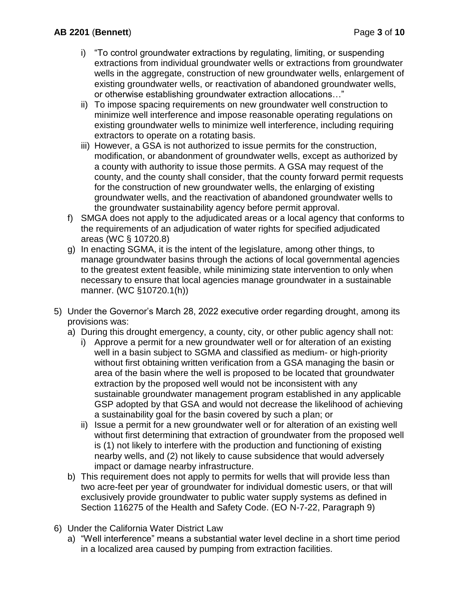- i) "To control groundwater extractions by regulating, limiting, or suspending extractions from individual groundwater wells or extractions from groundwater wells in the aggregate, construction of new groundwater wells, enlargement of existing groundwater wells, or reactivation of abandoned groundwater wells, or otherwise establishing groundwater extraction allocations…"
- ii) To impose spacing requirements on new groundwater well construction to minimize well interference and impose reasonable operating regulations on existing groundwater wells to minimize well interference, including requiring extractors to operate on a rotating basis.
- iii) However, a GSA is not authorized to issue permits for the construction, modification, or abandonment of groundwater wells, except as authorized by a county with authority to issue those permits. A GSA may request of the county, and the county shall consider, that the county forward permit requests for the construction of new groundwater wells, the enlarging of existing groundwater wells, and the reactivation of abandoned groundwater wells to the groundwater sustainability agency before permit approval.
- f) SMGA does not apply to the adjudicated areas or a local agency that conforms to the requirements of an adjudication of water rights for specified adjudicated areas (WC § 10720.8)
- g) In enacting SGMA, it is the intent of the legislature, among other things, to manage groundwater basins through the actions of local governmental agencies to the greatest extent feasible, while minimizing state intervention to only when necessary to ensure that local agencies manage groundwater in a sustainable manner. (WC §10720.1(h))
- 5) Under the Governor's March 28, 2022 executive order regarding drought, among its provisions was:
	- a) During this drought emergency, a county, city, or other public agency shall not:
		- i) Approve a permit for a new groundwater well or for alteration of an existing well in a basin subject to SGMA and classified as medium- or high-priority without first obtaining written verification from a GSA managing the basin or area of the basin where the well is proposed to be located that groundwater extraction by the proposed well would not be inconsistent with any sustainable groundwater management program established in any applicable GSP adopted by that GSA and would not decrease the likelihood of achieving a sustainability goal for the basin covered by such a plan; or
		- ii) Issue a permit for a new groundwater well or for alteration of an existing well without first determining that extraction of groundwater from the proposed well is (1) not likely to interfere with the production and functioning of existing nearby wells, and (2) not likely to cause subsidence that would adversely impact or damage nearby infrastructure.
	- b) This requirement does not apply to permits for wells that will provide less than two acre-feet per year of groundwater for individual domestic users, or that will exclusively provide groundwater to public water supply systems as defined in Section 116275 of the Health and Safety Code. (EO N-7-22, Paragraph 9)
- 6) Under the California Water District Law
	- a) "Well interference" means a substantial water level decline in a short time period in a localized area caused by pumping from extraction facilities.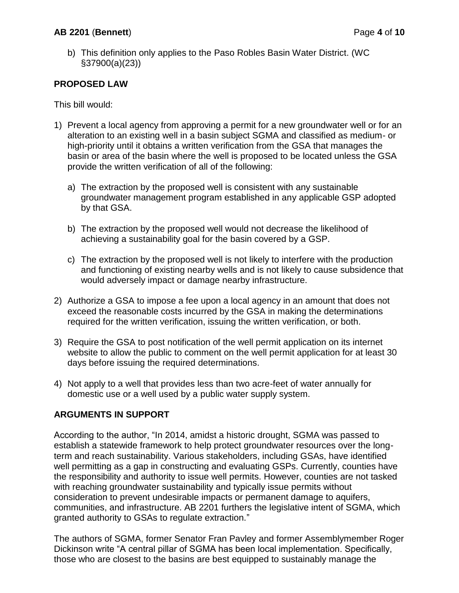b) This definition only applies to the Paso Robles Basin Water District. (WC §37900(a)(23))

# **PROPOSED LAW**

This bill would:

- 1) Prevent a local agency from approving a permit for a new groundwater well or for an alteration to an existing well in a basin subject SGMA and classified as medium- or high-priority until it obtains a written verification from the GSA that manages the basin or area of the basin where the well is proposed to be located unless the GSA provide the written verification of all of the following:
	- a) The extraction by the proposed well is consistent with any sustainable groundwater management program established in any applicable GSP adopted by that GSA.
	- b) The extraction by the proposed well would not decrease the likelihood of achieving a sustainability goal for the basin covered by a GSP.
	- c) The extraction by the proposed well is not likely to interfere with the production and functioning of existing nearby wells and is not likely to cause subsidence that would adversely impact or damage nearby infrastructure.
- 2) Authorize a GSA to impose a fee upon a local agency in an amount that does not exceed the reasonable costs incurred by the GSA in making the determinations required for the written verification, issuing the written verification, or both.
- 3) Require the GSA to post notification of the well permit application on its internet website to allow the public to comment on the well permit application for at least 30 days before issuing the required determinations.
- 4) Not apply to a well that provides less than two acre-feet of water annually for domestic use or a well used by a public water supply system.

## **ARGUMENTS IN SUPPORT**

According to the author, "In 2014, amidst a historic drought, SGMA was passed to establish a statewide framework to help protect groundwater resources over the longterm and reach sustainability. Various stakeholders, including GSAs, have identified well permitting as a gap in constructing and evaluating GSPs. Currently, counties have the responsibility and authority to issue well permits. However, counties are not tasked with reaching groundwater sustainability and typically issue permits without consideration to prevent undesirable impacts or permanent damage to aquifers, communities, and infrastructure. AB 2201 furthers the legislative intent of SGMA, which granted authority to GSAs to regulate extraction."

The authors of SGMA, former Senator Fran Pavley and former Assemblymember Roger Dickinson write "A central pillar of SGMA has been local implementation. Specifically, those who are closest to the basins are best equipped to sustainably manage the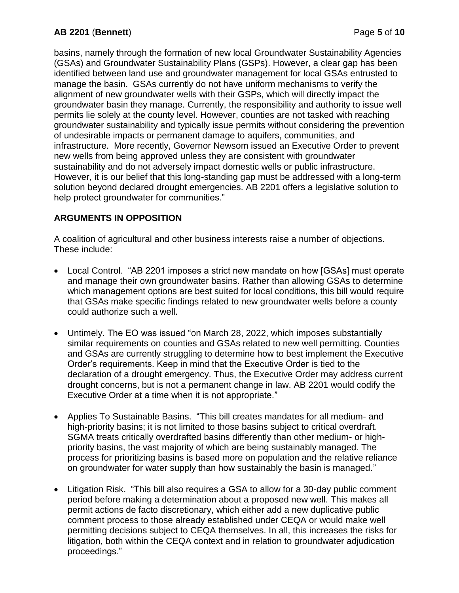basins, namely through the formation of new local Groundwater Sustainability Agencies (GSAs) and Groundwater Sustainability Plans (GSPs). However, a clear gap has been identified between land use and groundwater management for local GSAs entrusted to manage the basin. GSAs currently do not have uniform mechanisms to verify the alignment of new groundwater wells with their GSPs, which will directly impact the groundwater basin they manage. Currently, the responsibility and authority to issue well permits lie solely at the county level. However, counties are not tasked with reaching groundwater sustainability and typically issue permits without considering the prevention of undesirable impacts or permanent damage to aquifers, communities, and infrastructure. More recently, Governor Newsom issued an Executive Order to prevent new wells from being approved unless they are consistent with groundwater sustainability and do not adversely impact domestic wells or public infrastructure. However, it is our belief that this long-standing gap must be addressed with a long-term solution beyond declared drought emergencies. AB 2201 offers a legislative solution to help protect groundwater for communities."

# **ARGUMENTS IN OPPOSITION**

A coalition of agricultural and other business interests raise a number of objections. These include:

- Local Control. "AB 2201 imposes a strict new mandate on how [GSAs] must operate and manage their own groundwater basins. Rather than allowing GSAs to determine which management options are best suited for local conditions, this bill would require that GSAs make specific findings related to new groundwater wells before a county could authorize such a well.
- Untimely. The EO was issued "on March 28, 2022, which imposes substantially similar requirements on counties and GSAs related to new well permitting. Counties and GSAs are currently struggling to determine how to best implement the Executive Order's requirements. Keep in mind that the Executive Order is tied to the declaration of a drought emergency. Thus, the Executive Order may address current drought concerns, but is not a permanent change in law. AB 2201 would codify the Executive Order at a time when it is not appropriate."
- Applies To Sustainable Basins. "This bill creates mandates for all medium- and high-priority basins; it is not limited to those basins subject to critical overdraft. SGMA treats critically overdrafted basins differently than other medium- or highpriority basins, the vast majority of which are being sustainably managed. The process for prioritizing basins is based more on population and the relative reliance on groundwater for water supply than how sustainably the basin is managed."
- Litigation Risk. "This bill also requires a GSA to allow for a 30-day public comment period before making a determination about a proposed new well. This makes all permit actions de facto discretionary, which either add a new duplicative public comment process to those already established under CEQA or would make well permitting decisions subject to CEQA themselves. In all, this increases the risks for litigation, both within the CEQA context and in relation to groundwater adjudication proceedings."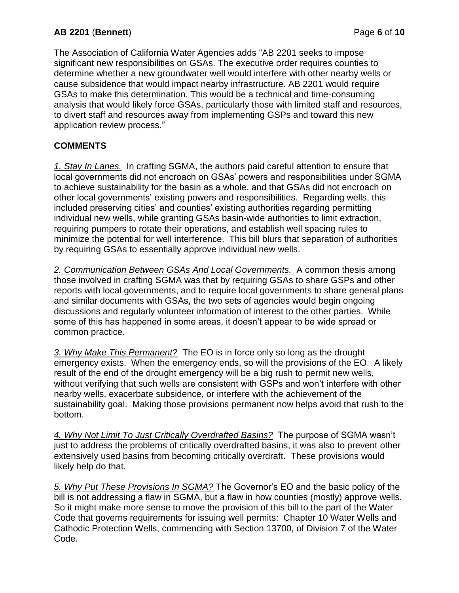The Association of California Water Agencies adds "AB 2201 seeks to impose significant new responsibilities on GSAs. The executive order requires counties to determine whether a new groundwater well would interfere with other nearby wells or cause subsidence that would impact nearby infrastructure. AB 2201 would require GSAs to make this determination. This would be a technical and time-consuming analysis that would likely force GSAs, particularly those with limited staff and resources, to divert staff and resources away from implementing GSPs and toward this new application review process."

# **COMMENTS**

*1. Stay In Lanes.* In crafting SGMA, the authors paid careful attention to ensure that local governments did not encroach on GSAs' powers and responsibilities under SGMA to achieve sustainability for the basin as a whole, and that GSAs did not encroach on other local governments' existing powers and responsibilities. Regarding wells, this included preserving cities' and counties' existing authorities regarding permitting individual new wells, while granting GSAs basin-wide authorities to limit extraction, requiring pumpers to rotate their operations, and establish well spacing rules to minimize the potential for well interference. This bill blurs that separation of authorities by requiring GSAs to essentially approve individual new wells.

*2. Communication Between GSAs And Local Governments.* A common thesis among those involved in crafting SGMA was that by requiring GSAs to share GSPs and other reports with local governments, and to require local governments to share general plans and similar documents with GSAs, the two sets of agencies would begin ongoing discussions and regularly volunteer information of interest to the other parties. While some of this has happened in some areas, it doesn't appear to be wide spread or common practice.

*3. Why Make This Permanent?* The EO is in force only so long as the drought emergency exists. When the emergency ends, so will the provisions of the EO. A likely result of the end of the drought emergency will be a big rush to permit new wells, without verifying that such wells are consistent with GSPs and won't interfere with other nearby wells, exacerbate subsidence, or interfere with the achievement of the sustainability goal. Making those provisions permanent now helps avoid that rush to the bottom.

*4. Why Not Limit To Just Critically Overdrafted Basins?* The purpose of SGMA wasn't just to address the problems of critically overdrafted basins, it was also to prevent other extensively used basins from becoming critically overdraft. These provisions would likely help do that.

*5. Why Put These Provisions In SGMA?* The Governor's EO and the basic policy of the bill is not addressing a flaw in SGMA, but a flaw in how counties (mostly) approve wells. So it might make more sense to move the provision of this bill to the part of the Water Code that governs requirements for issuing well permits: Chapter 10 Water Wells and Cathodic Protection Wells, commencing with Section 13700, of Division 7 of the Water Code.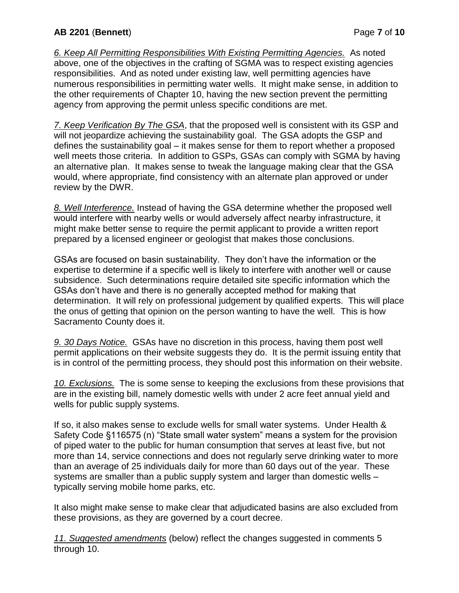*6. Keep All Permitting Responsibilities With Existing Permitting Agencies.* As noted above, one of the objectives in the crafting of SGMA was to respect existing agencies responsibilities. And as noted under existing law, well permitting agencies have numerous responsibilities in permitting water wells. It might make sense, in addition to the other requirements of Chapter 10, having the new section prevent the permitting agency from approving the permit unless specific conditions are met.

*7. Keep Verification By The GSA*, that the proposed well is consistent with its GSP and will not jeopardize achieving the sustainability goal. The GSA adopts the GSP and defines the sustainability goal – it makes sense for them to report whether a proposed well meets those criteria. In addition to GSPs, GSAs can comply with SGMA by having an alternative plan. It makes sense to tweak the language making clear that the GSA would, where appropriate, find consistency with an alternate plan approved or under review by the DWR.

*8. Well Interference.* Instead of having the GSA determine whether the proposed well would interfere with nearby wells or would adversely affect nearby infrastructure, it might make better sense to require the permit applicant to provide a written report prepared by a licensed engineer or geologist that makes those conclusions.

GSAs are focused on basin sustainability. They don't have the information or the expertise to determine if a specific well is likely to interfere with another well or cause subsidence. Such determinations require detailed site specific information which the GSAs don't have and there is no generally accepted method for making that determination. It will rely on professional judgement by qualified experts. This will place the onus of getting that opinion on the person wanting to have the well. This is how Sacramento County does it.

*9. 30 Days Notice.* GSAs have no discretion in this process, having them post well permit applications on their website suggests they do. It is the permit issuing entity that is in control of the permitting process, they should post this information on their website.

*10. Exclusions.* The is some sense to keeping the exclusions from these provisions that are in the existing bill, namely domestic wells with under 2 acre feet annual yield and wells for public supply systems.

If so, it also makes sense to exclude wells for small water systems. Under Health & Safety Code §116575 (n) "State small water system" means a system for the provision of piped water to the public for human consumption that serves at least five, but not more than 14, service connections and does not regularly serve drinking water to more than an average of 25 individuals daily for more than 60 days out of the year. These systems are smaller than a public supply system and larger than domestic wells – typically serving mobile home parks, etc.

It also might make sense to make clear that adjudicated basins are also excluded from these provisions, as they are governed by a court decree.

*11. Suggested amendments* (below) reflect the changes suggested in comments 5 through 10.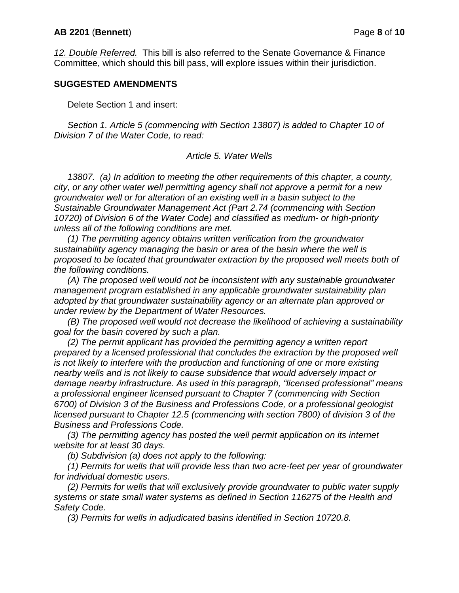### **AB 2201** (**Bennett**) Page **8** of **10**

*12. Double Referred.* This bill is also referred to the Senate Governance & Finance Committee, which should this bill pass, will explore issues within their jurisdiction.

### **SUGGESTED AMENDMENTS**

Delete Section 1 and insert:

*Section 1. Article 5 (commencing with Section 13807) is added to Chapter 10 of Division 7 of the Water Code, to read:*

#### *Article 5. Water Wells*

*13807. (a) In addition to meeting the other requirements of this chapter, a county, city, or any other water well permitting agency shall not approve a permit for a new groundwater well or for alteration of an existing well in a basin subject to the Sustainable Groundwater Management Act (Part 2.74 (commencing with Section 10720) of Division 6 of the Water Code) and classified as medium- or high-priority unless all of the following conditions are met.*

*(1) The permitting agency obtains written verification from the groundwater sustainability agency managing the basin or area of the basin where the well is proposed to be located that groundwater extraction by the proposed well meets both of the following conditions.*

*(A) The proposed well would not be inconsistent with any sustainable groundwater management program established in any applicable groundwater sustainability plan adopted by that groundwater sustainability agency or an alternate plan approved or under review by the Department of Water Resources.*

*(B) The proposed well would not decrease the likelihood of achieving a sustainability goal for the basin covered by such a plan.*

*(2) The permit applicant has provided the permitting agency a written report prepared by a licensed professional that concludes the extraction by the proposed well is not likely to interfere with the production and functioning of one or more existing nearby wells and is not likely to cause subsidence that would adversely impact or damage nearby infrastructure. As used in this paragraph, "licensed professional" means a professional engineer licensed pursuant to Chapter 7 (commencing with Section 6700) of Division 3 of the Business and Professions Code, or a professional geologist licensed pursuant to Chapter 12.5 (commencing with section 7800) of division 3 of the Business and Professions Code.* 

*(3) The permitting agency has posted the well permit application on its internet website for at least 30 days.*

*(b) Subdivision (a) does not apply to the following:*

*(1) Permits for wells that will provide less than two acre-feet per year of groundwater for individual domestic users.*

*(2) Permits for wells that will exclusively provide groundwater to public water supply systems or state small water systems as defined in Section 116275 of the Health and Safety Code.*

*(3) Permits for wells in adjudicated basins identified in Section 10720.8.*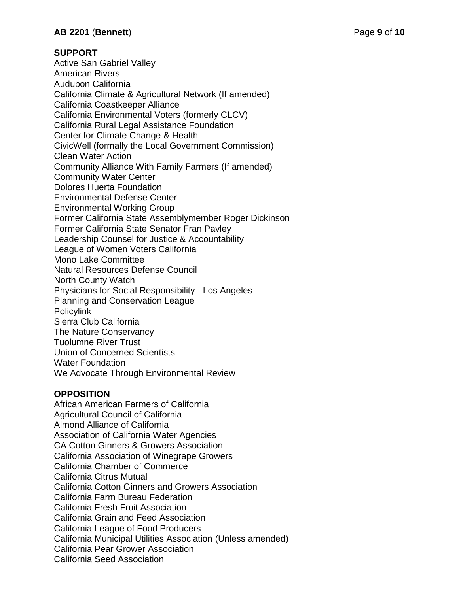## **SUPPORT**

Active San Gabriel Valley American Rivers Audubon California California Climate & Agricultural Network (If amended) California Coastkeeper Alliance California Environmental Voters (formerly CLCV) California Rural Legal Assistance Foundation Center for Climate Change & Health CivicWell (formally the Local Government Commission) Clean Water Action Community Alliance With Family Farmers (If amended) Community Water Center Dolores Huerta Foundation Environmental Defense Center Environmental Working Group Former California State Assemblymember Roger Dickinson Former California State Senator Fran Pavley Leadership Counsel for Justice & Accountability League of Women Voters California Mono Lake Committee Natural Resources Defense Council North County Watch Physicians for Social Responsibility - Los Angeles Planning and Conservation League Policylink Sierra Club California The Nature Conservancy Tuolumne River Trust Union of Concerned Scientists Water Foundation We Advocate Through Environmental Review

# **OPPOSITION**

African American Farmers of California Agricultural Council of California Almond Alliance of California Association of California Water Agencies CA Cotton Ginners & Growers Association California Association of Winegrape Growers California Chamber of Commerce California Citrus Mutual California Cotton Ginners and Growers Association California Farm Bureau Federation California Fresh Fruit Association California Grain and Feed Association California League of Food Producers California Municipal Utilities Association (Unless amended) California Pear Grower Association California Seed Association